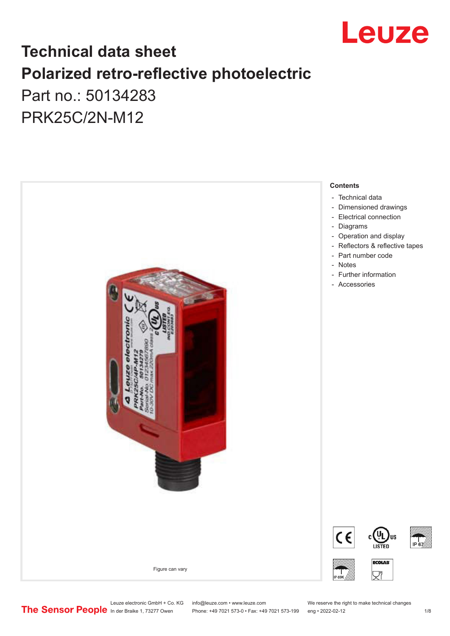

## **Technical data sheet Polarized retro-reflective photoelectric**  Part no.: 50134283

PRK25C/2N-M12



Leuze electronic GmbH + Co. KG info@leuze.com • www.leuze.com We reserve the right to make technical changes<br>
The Sensor People in der Braike 1, 73277 Owen Phone: +49 7021 573-0 • Fax: +49 7021 573-199 eng • 2022-02-12

Phone: +49 7021 573-0 • Fax: +49 7021 573-199 eng • 2022-02-12 12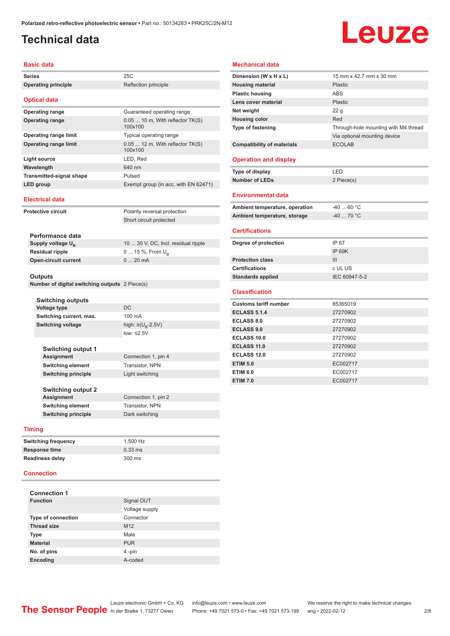### <span id="page-1-0"></span>**Technical data**

# Leuze

#### **Basic data**

| Dasiy yala                                                |                                             |  |
|-----------------------------------------------------------|---------------------------------------------|--|
| <b>Series</b>                                             | 25C                                         |  |
| <b>Operating principle</b>                                | Reflection principle                        |  |
| <b>Optical data</b>                                       |                                             |  |
| <b>Operating range</b>                                    | Guaranteed operating range                  |  |
| <b>Operating range</b>                                    | $0.0510$ m, With reflector TK(S)<br>100x100 |  |
| <b>Operating range limit</b>                              | Typical operating range                     |  |
| <b>Operating range limit</b>                              | $0.0512$ m, With reflector TK(S)<br>100x100 |  |
| <b>Light source</b>                                       | LED, Red                                    |  |
| Wavelength                                                | 640 nm                                      |  |
| <b>Transmitted-signal shape</b>                           | Pulsed                                      |  |
| LED group                                                 | Exempt group (in acc. with EN 62471)        |  |
| <b>Electrical data</b>                                    |                                             |  |
| <b>Protective circuit</b>                                 | Polarity reversal protection                |  |
|                                                           | Short circuit protected                     |  |
|                                                           |                                             |  |
| Performance data                                          |                                             |  |
| Supply voltage U <sub>B</sub>                             | 10  30 V, DC, Incl. residual ripple         |  |
| <b>Residual ripple</b>                                    | 0  15 %, From $U_{\rm B}$                   |  |
| <b>Open-circuit current</b>                               | 020mA                                       |  |
|                                                           |                                             |  |
| Outputs<br>Number of digital switching outputs 2 Piece(s) |                                             |  |
|                                                           |                                             |  |
| Switching outputs                                         |                                             |  |
| <b>Voltage type</b>                                       | DC                                          |  |
| Switching current, max.                                   | 100 mA                                      |  |
| <b>Switching voltage</b>                                  | high: ≥( $UB$ -2.5V)                        |  |
|                                                           | low: $\leq$ 2.5V                            |  |
|                                                           |                                             |  |
| <b>Switching output 1</b>                                 |                                             |  |
| Assignment                                                | Connection 1, pin 4                         |  |
| Switching element                                         | Transistor, NPN                             |  |
| <b>Switching principle</b>                                | Light switching                             |  |
|                                                           |                                             |  |
| <b>Switching output 2</b><br>Assignment                   | Connection 1, pin 2                         |  |
| <b>Switching element</b>                                  | Transistor, NPN                             |  |
| <b>Switching principle</b>                                | Dark switching                              |  |
|                                                           |                                             |  |
| <b>Timing</b>                                             |                                             |  |
| <b>Switching frequency</b>                                | 1,500 Hz                                    |  |
| Response time                                             | $0.33$ ms                                   |  |
| <b>Readiness delay</b>                                    | 300 ms                                      |  |

#### **Connection**

| <b>Connection 1</b>       |                 |
|---------------------------|-----------------|
| <b>Function</b>           | Signal OUT      |
|                           | Voltage supply  |
| <b>Type of connection</b> | Connector       |
| <b>Thread size</b>        | M <sub>12</sub> |
| <b>Type</b>               | Male            |
| <b>Material</b>           | <b>PUR</b>      |
| No. of pins               | 4-pin           |
| <b>Encoding</b>           | A-coded         |

#### **Mechanical data**

| Dimension (W x H x L)             | 15 mm x 42.7 mm x 30 mm              |
|-----------------------------------|--------------------------------------|
| <b>Housing material</b>           | Plastic                              |
| <b>Plastic housing</b>            | <b>ABS</b>                           |
| Lens cover material               | Plastic                              |
| Net weight                        | 22 <sub>g</sub>                      |
| <b>Housing color</b>              | Red                                  |
| <b>Type of fastening</b>          | Through-hole mounting with M4 thread |
|                                   | Via optional mounting device         |
| <b>Compatibility of materials</b> | <b>ECOLAB</b>                        |
| <b>Operation and display</b>      |                                      |
|                                   |                                      |
| Type of display                   | LED                                  |
| <b>Number of LEDs</b>             | 2 Piece(s)                           |
| <b>Environmental data</b>         |                                      |
|                                   |                                      |
| Ambient temperature, operation    | $-40$ 60 °C                          |
| Ambient temperature, storage      | $-40$ 70 °C                          |
| <b>Certifications</b>             |                                      |
|                                   |                                      |
| Degree of protection              | IP 67                                |
|                                   | <b>IP 69K</b>                        |
| <b>Protection class</b>           | III                                  |
| <b>Certifications</b>             | c UL US                              |
| <b>Standards applied</b>          | IEC 60947-5-2                        |
|                                   |                                      |
| <b>Classification</b>             |                                      |
| <b>Customs tariff number</b>      | 85365019                             |
| <b>ECLASS 5.1.4</b>               | 27270902                             |
| <b>ECLASS 8.0</b>                 | 27270902                             |
| <b>ECLASS 9.0</b>                 | 27270902                             |
| <b>ECLASS 10.0</b>                | 27270902                             |
| <b>ECLASS 11.0</b>                | 27270902                             |
| <b>ECLASS 12.0</b>                | 27270902                             |
| <b>ETIM 5.0</b>                   | EC002717                             |
| <b>ETIM 6.0</b>                   | EC002717                             |
| <b>ETIM 7.0</b>                   | EC002717                             |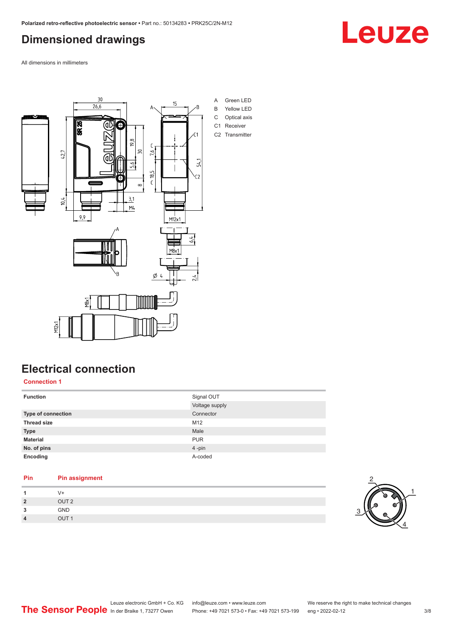### <span id="page-2-0"></span>**Dimensioned drawings**

All dimensions in millimeters



### **Electrical connection**

**Connection 1**

| <b>Function</b>    | Signal OUT     |
|--------------------|----------------|
|                    | Voltage supply |
| Type of connection | Connector      |
| <b>Thread size</b> | M12            |
| <b>Type</b>        | Male           |
| <b>Material</b>    | <b>PUR</b>     |
| No. of pins        | 4-pin          |
| Encoding           | A-coded        |
|                    |                |

| Pin | <b>Pin assignment</b> |
|-----|-----------------------|
|     | 7+                    |
|     | OUT <sub>2</sub>      |
|     |                       |

| 3 | <b>GND</b>       |
|---|------------------|
| 4 | OUT <sub>1</sub> |
|   |                  |



## Leuze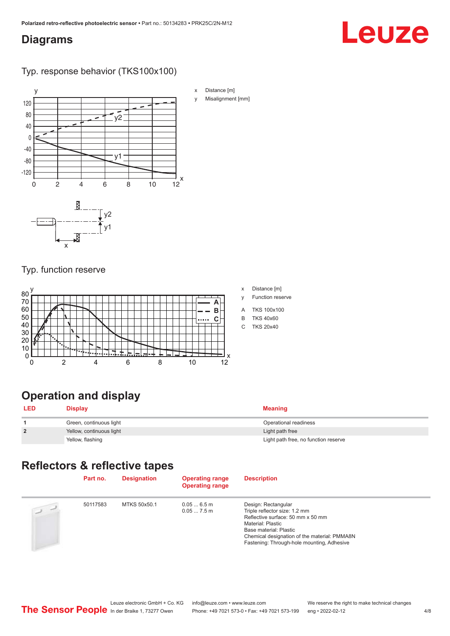#### <span id="page-3-0"></span>**Diagrams**

## Leuze

#### Typ. response behavior (TKS100x100)



#### Typ. function reserve



| x | Distance [m] |  |
|---|--------------|--|
|   |              |  |

- y Function reserve
- A TKS 100x100
- B TKS 40x60
- C TKS 20x40

### **Operation and display**

| <b>LED</b>     | <b>Display</b>           | <b>Meaning</b>                       |
|----------------|--------------------------|--------------------------------------|
|                | Green, continuous light  | Operational readiness                |
| $\overline{2}$ | Yellow, continuous light | Light path free                      |
|                | Yellow, flashing         | Light path free, no function reserve |

### **Reflectors & reflective tapes**

|                | Part no. | <b>Designation</b> | <b>Operating range</b><br><b>Operating range</b> | <b>Description</b>                                                                                                                                                                                                                     |
|----------------|----------|--------------------|--------------------------------------------------|----------------------------------------------------------------------------------------------------------------------------------------------------------------------------------------------------------------------------------------|
| $\overline{2}$ | 50117583 | MTKS 50x50.1       | 0.056.5m<br>$0.057.5$ m                          | Design: Rectangular<br>Triple reflector size: 1.2 mm<br>Reflective surface: 50 mm x 50 mm<br>Material: Plastic<br>Base material: Plastic<br>Chemical designation of the material: PMMA8N<br>Fastening: Through-hole mounting, Adhesive |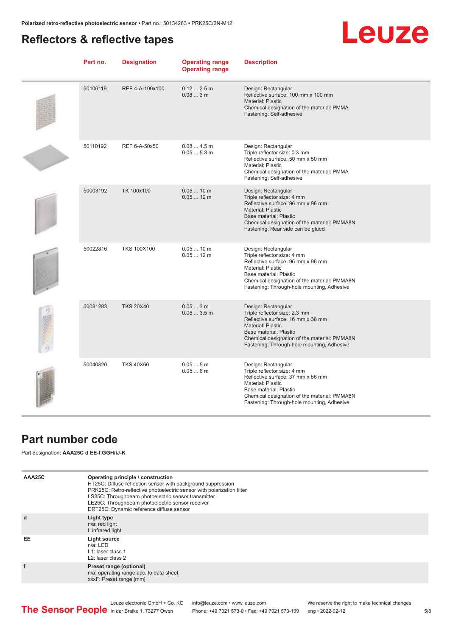#### <span id="page-4-0"></span>**Reflectors & reflective tapes**

## **Leuze**

| Part no. | <b>Designation</b> | <b>Operating range</b><br><b>Operating range</b> | <b>Description</b>                                                                                                                                                                                                                            |
|----------|--------------------|--------------------------------------------------|-----------------------------------------------------------------------------------------------------------------------------------------------------------------------------------------------------------------------------------------------|
| 50106119 | REF 4-A-100x100    | 0.122.5m<br>0.083m                               | Design: Rectangular<br>Reflective surface: 100 mm x 100 mm<br><b>Material: Plastic</b><br>Chemical designation of the material: PMMA<br>Fastening: Self-adhesive                                                                              |
| 50110192 | REF 6-A-50x50      | 0.084.5m<br>0.055.3m                             | Design: Rectangular<br>Triple reflector size: 0.3 mm<br>Reflective surface: 50 mm x 50 mm<br>Material: Plastic<br>Chemical designation of the material: PMMA<br>Fastening: Self-adhesive                                                      |
| 50003192 | TK 100x100         | $0.0510$ m<br>$0.0512 \text{ m}$                 | Design: Rectangular<br>Triple reflector size: 4 mm<br>Reflective surface: 96 mm x 96 mm<br>Material: Plastic<br>Base material: Plastic<br>Chemical designation of the material: PMMA8N<br>Fastening: Rear side can be glued                   |
| 50022816 | <b>TKS 100X100</b> | $0.0510$ m<br>$0.0512$ m                         | Design: Rectangular<br>Triple reflector size: 4 mm<br>Reflective surface: 96 mm x 96 mm<br>Material: Plastic<br>Base material: Plastic<br>Chemical designation of the material: PMMA8N<br>Fastening: Through-hole mounting, Adhesive          |
| 50081283 | <b>TKS 20X40</b>   | 0.053m<br>0.053.5m                               | Design: Rectangular<br>Triple reflector size: 2.3 mm<br>Reflective surface: 16 mm x 38 mm<br><b>Material: Plastic</b><br>Base material: Plastic<br>Chemical designation of the material: PMMA8N<br>Fastening: Through-hole mounting, Adhesive |
| 50040820 | <b>TKS 40X60</b>   | 0.055m<br>0.056m                                 | Design: Rectangular<br>Triple reflector size: 4 mm<br>Reflective surface: 37 mm x 56 mm<br><b>Material: Plastic</b><br>Base material: Plastic<br>Chemical designation of the material: PMMA8N<br>Fastening: Through-hole mounting, Adhesive   |

#### **Part number code**

Part designation: **AAA25C d EE-f.GGH/iJ-K**

| AAA25C | Operating principle / construction<br>HT25C: Diffuse reflection sensor with background suppression<br>PRK25C: Retro-reflective photoelectric sensor with polarization filter<br>LS25C: Throughbeam photoelectric sensor transmitter<br>LE25C: Throughbeam photoelectric sensor receiver<br>DRT25C: Dynamic reference diffuse sensor |
|--------|-------------------------------------------------------------------------------------------------------------------------------------------------------------------------------------------------------------------------------------------------------------------------------------------------------------------------------------|
| d      | Light type<br>n/a: red light<br>I: infrared light                                                                                                                                                                                                                                                                                   |
| EE     | Light source<br>$n/a$ : LED<br>L1: laser class 1<br>L <sub>2</sub> : laser class 2                                                                                                                                                                                                                                                  |
| f      | Preset range (optional)<br>n/a: operating range acc. to data sheet<br>xxxF: Preset range [mm]                                                                                                                                                                                                                                       |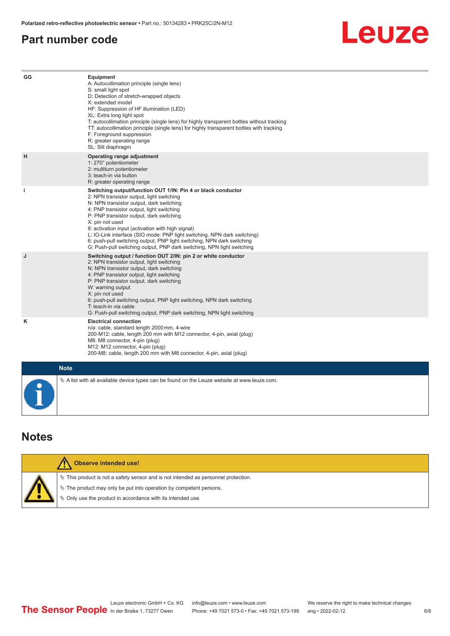#### <span id="page-5-0"></span>**Part number code**



| GG        | Equipment<br>A: Autocollimation principle (single lens)<br>S: small light spot<br>D: Detection of stretch-wrapped objects<br>X: extended model<br>HF: Suppression of HF illumination (LED)<br>XL: Extra long light spot<br>T: autocollimation principle (single lens) for highly transparent bottles without tracking<br>TT: autocollimation principle (single lens) for highly transparent bottles with tracking<br>F: Foreground suppression<br>R: greater operating range<br>SL: Slit diaphragm                                                     |
|-----------|--------------------------------------------------------------------------------------------------------------------------------------------------------------------------------------------------------------------------------------------------------------------------------------------------------------------------------------------------------------------------------------------------------------------------------------------------------------------------------------------------------------------------------------------------------|
| н         | Operating range adjustment<br>1: 270° potentiometer<br>2: multiturn potentiometer<br>3: teach-in via button<br>R: greater operating range                                                                                                                                                                                                                                                                                                                                                                                                              |
| j.        | Switching output/function OUT 1/IN: Pin 4 or black conductor<br>2: NPN transistor output, light switching<br>N: NPN transistor output, dark switching<br>4: PNP transistor output, light switching<br>P: PNP transistor output, dark switching<br>X: pin not used<br>8: activation input (activation with high signal)<br>L: IO-Link interface (SIO mode: PNP light switching, NPN dark switching)<br>6: push-pull switching output, PNP light switching, NPN dark switching<br>G: Push-pull switching output, PNP dark switching, NPN light switching |
| J         | Switching output / function OUT 2/IN: pin 2 or white conductor<br>2: NPN transistor output, light switching<br>N: NPN transistor output, dark switching<br>4: PNP transistor output, light switching<br>P: PNP transistor output, dark switching<br>W: warning output<br>X: pin not used<br>6: push-pull switching output, PNP light switching, NPN dark switching<br>T: teach-in via cable<br>G: Push-pull switching output, PNP dark switching, NPN light switching                                                                                  |
| Κ         | <b>Electrical connection</b><br>n/a: cable, standard length 2000 mm, 4-wire<br>200-M12: cable, length 200 mm with M12 connector, 4-pin, axial (plug)<br>M8: M8 connector, 4-pin (plug)<br>M12: M12 connector, 4-pin (plug)<br>200-M8: cable, length 200 mm with M8 connector, 4-pin, axial (plug)                                                                                                                                                                                                                                                      |
|           | <b>Note</b>                                                                                                                                                                                                                                                                                                                                                                                                                                                                                                                                            |
| $\bullet$ | $\&$ A list with all available device types can be found on the Leuze website at www.leuze.com.                                                                                                                                                                                                                                                                                                                                                                                                                                                        |

#### **Notes**

|  | <b>Observe intended use!</b>                                                          |
|--|---------------------------------------------------------------------------------------|
|  | $\%$ This product is not a safety sensor and is not intended as personnel protection. |
|  | $\%$ The product may only be put into operation by competent persons.                 |
|  | ₿ Only use the product in accordance with its intended use.                           |
|  |                                                                                       |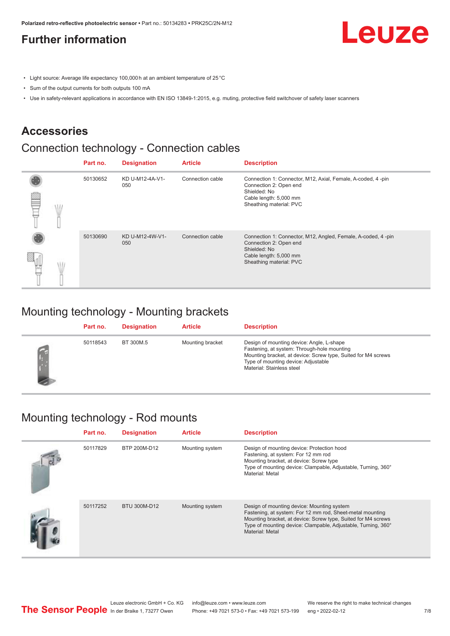### <span id="page-6-0"></span>**Further information**

Leuze

- Light source: Average life expectancy 100,000 h at an ambient temperature of 25 °C
- Sum of the output currents for both outputs 100 mA
- Use in safety-relevant applications in accordance with EN ISO 13849-1:2015, e.g. muting, protective field switchover of safety laser scanners

#### **Accessories**

#### Connection technology - Connection cables

|   | Part no. | <b>Designation</b>     | <b>Article</b>   | <b>Description</b>                                                                                                                                          |
|---|----------|------------------------|------------------|-------------------------------------------------------------------------------------------------------------------------------------------------------------|
| œ | 50130652 | KD U-M12-4A-V1-<br>050 | Connection cable | Connection 1: Connector, M12, Axial, Female, A-coded, 4-pin<br>Connection 2: Open end<br>Shielded: No<br>Cable length: 5,000 mm<br>Sheathing material: PVC  |
|   | 50130690 | KD U-M12-4W-V1-<br>050 | Connection cable | Connection 1: Connector, M12, Angled, Female, A-coded, 4-pin<br>Connection 2: Open end<br>Shielded: No<br>Cable length: 5,000 mm<br>Sheathing material: PVC |

#### Mounting technology - Mounting brackets

| Part no. | <b>Designation</b> | <b>Article</b>   | <b>Description</b>                                                                                                                                                                                                            |
|----------|--------------------|------------------|-------------------------------------------------------------------------------------------------------------------------------------------------------------------------------------------------------------------------------|
| 50118543 | BT 300M.5          | Mounting bracket | Design of mounting device: Angle, L-shape<br>Fastening, at system: Through-hole mounting<br>Mounting bracket, at device: Screw type, Suited for M4 screws<br>Type of mounting device: Adjustable<br>Material: Stainless steel |

#### Mounting technology - Rod mounts

| Part no. | <b>Designation</b> | <b>Article</b>  | <b>Description</b>                                                                                                                                                                                                                                           |
|----------|--------------------|-----------------|--------------------------------------------------------------------------------------------------------------------------------------------------------------------------------------------------------------------------------------------------------------|
| 50117829 | BTP 200M-D12       | Mounting system | Design of mounting device: Protection hood<br>Fastening, at system: For 12 mm rod<br>Mounting bracket, at device: Screw type<br>Type of mounting device: Clampable, Adjustable, Turning, 360°<br>Material: Metal                                             |
| 50117252 | BTU 300M-D12       | Mounting system | Design of mounting device: Mounting system<br>Fastening, at system: For 12 mm rod, Sheet-metal mounting<br>Mounting bracket, at device: Screw type, Suited for M4 screws<br>Type of mounting device: Clampable, Adjustable, Turning, 360°<br>Material: Metal |